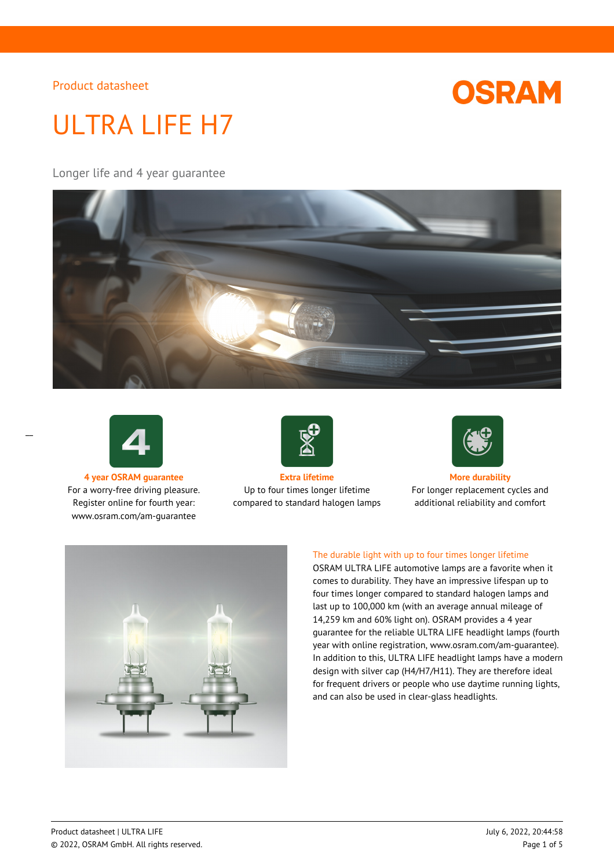

# ULTRA LIFE H7

## Longer life and 4 year guarantee





 $\overline{a}$ 

For a worry-free driving pleasure. Register online for fourth year: www.osram.com/am-guarantee



**4 year OSRAM guarantee Extra lifetime More durability** Up to four times longer lifetime compared to standard halogen lamps



For longer replacement cycles and additional reliability and comfort



### The durable light with up to four times longer lifetime

OSRAM ULTRA LIFE automotive lamps are a favorite when it comes to durability. They have an impressive lifespan up to four times longer compared to standard halogen lamps and last up to 100,000 km (with an average annual mileage of 14,259 km and 60% light on). OSRAM provides a 4 year guarantee for the reliable ULTRA LIFE headlight lamps (fourth year with online registration, www.osram.com/am-guarantee). In addition to this, ULTRA LIFE headlight lamps have a modern design with silver cap (H4/H7/H11). They are therefore ideal for frequent drivers or people who use daytime running lights, and can also be used in clear-glass headlights.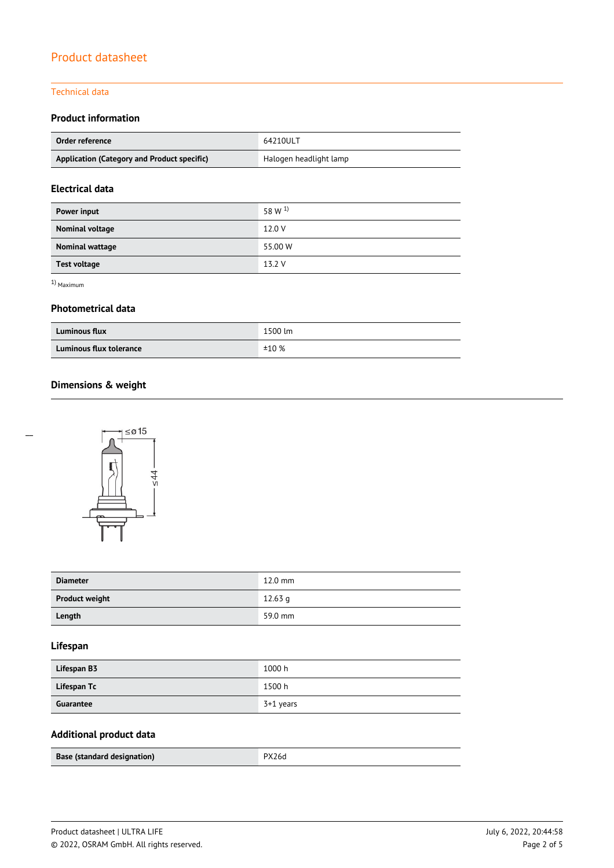#### Technical data

## **Product information**

| Order reference                             | 64210ULT               |
|---------------------------------------------|------------------------|
| Application (Category and Product specific) | Halogen headlight lamp |

## **Electrical data**

| Power input         | 58 W <sup>1</sup> |
|---------------------|-------------------|
| Nominal voltage     | 12.0 V            |
| Nominal wattage     | 55.00 W           |
| <b>Test voltage</b> | 13.2 V            |

1) Maximum

#### **Photometrical data**

| <b>Luminous flux</b>    | 1500 lm |
|-------------------------|---------|
| Luminous flux tolerance | ±10%    |

# **Dimensions & weight**



| <b>Diameter</b>       | $12.0$ mm |
|-----------------------|-----------|
| <b>Product weight</b> | $12.63$ a |
| Length                | 59.0 mm   |

## **Lifespan**

| Lifespan B3 | 1000 h    |
|-------------|-----------|
| Lifespan Tc | 1500 h    |
| Guarantee   | 3+1 years |

# **Additional product data**

| Base (standard designation) | PX26d |
|-----------------------------|-------|
|                             |       |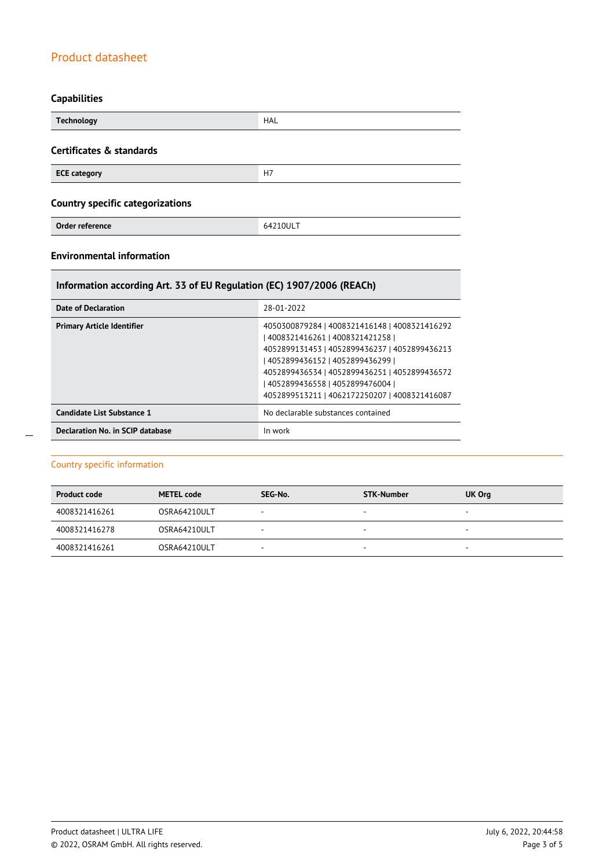# **Capabilities**

| <b>Technology</b>                       | <b>HAL</b> |  |
|-----------------------------------------|------------|--|
| Certificates & standards                |            |  |
| <b>ECE category</b>                     | H7         |  |
| <b>Country specific categorizations</b> |            |  |
| Order reference                         | 64210ULT   |  |

## **Environmental information**

# **Information according Art. 33 of EU Regulation (EC) 1907/2006 (REACh)**

| Date of Declaration               | 28-01-2022                                                                                                                                                                                                                                                                                                      |
|-----------------------------------|-----------------------------------------------------------------------------------------------------------------------------------------------------------------------------------------------------------------------------------------------------------------------------------------------------------------|
| <b>Primary Article Identifier</b> | 4050300879284   4008321416148   4008321416292<br>  4008321416261   4008321421258  <br>4052899131453   4052899436237   4052899436213<br>  4052899436152   4052899436299  <br>4052899436534   4052899436251   4052899436572<br>  4052899436558   4052899476004  <br>4052899513211   4062172250207   4008321416087 |
| Candidate List Substance 1        | No declarable substances contained                                                                                                                                                                                                                                                                              |
| Declaration No. in SCIP database  | In work                                                                                                                                                                                                                                                                                                         |

## Country specific information

| <b>Product code</b> | <b>METEL code</b> | SEG-No. | <b>STK-Number</b>        | UK Org                   |
|---------------------|-------------------|---------|--------------------------|--------------------------|
| 4008321416261       | OSRA64210ULT      |         | $\overline{\phantom{a}}$ | $\overline{\phantom{a}}$ |
| 4008321416278       | OSRA64210ULT      | -       | $\overline{\phantom{a}}$ | $\overline{\phantom{a}}$ |
| 4008321416261       | OSRA64210ULT      | -       | -                        | $\overline{\phantom{a}}$ |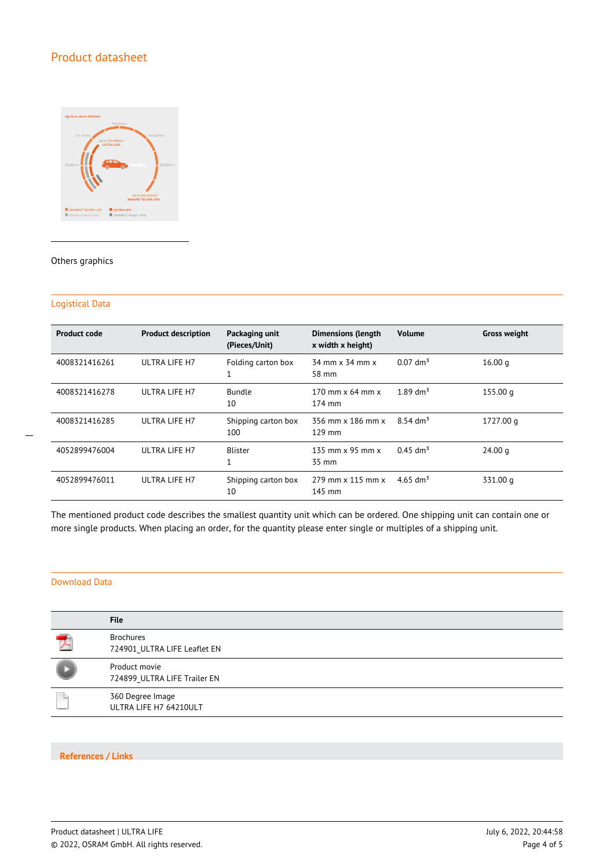

#### Others graphics

#### Logistical Data

 $\overline{a}$ 

| <b>Product code</b> | <b>Product description</b> | Packaging unit<br>(Pieces/Unit) | <b>Dimensions (length</b><br>x width x height) | <b>Volume</b>          | <b>Gross weight</b> |
|---------------------|----------------------------|---------------------------------|------------------------------------------------|------------------------|---------------------|
| 4008321416261       | ULTRA LIFE H7              | Folding carton box              | 34 mm x 34 mm x<br>58 mm                       | $0.07$ dm <sup>3</sup> | 16.00 g             |
| 4008321416278       | ULTRA LIFE H7              | <b>Bundle</b><br>10             | 170 mm $\times$ 64 mm $\times$<br>174 mm       | $1.89$ dm <sup>3</sup> | 155.00 g            |
| 4008321416285       | ULTRA LIFE H7              | Shipping carton box<br>100      | 356 mm x 186 mm x<br>$129$ mm                  | $8.54 \text{ dm}^3$    | 1727.00 g           |
| 4052899476004       | ULTRA LIFE H7              | <b>Blister</b><br>1             | 135 mm $\times$ 95 mm $\times$<br>35 mm        | $0.45$ dm <sup>3</sup> | 24.00 g             |
| 4052899476011       | ULTRA LIFE H7              | Shipping carton box<br>10       | 279 mm x 115 mm x<br>145 mm                    | 4.65 dm <sup>3</sup>   | 331.00 g            |

The mentioned product code describes the smallest quantity unit which can be ordered. One shipping unit can contain one or more single products. When placing an order, for the quantity please enter single or multiples of a shipping unit.

### Download Data

| <b>File</b>                                      |
|--------------------------------------------------|
| <b>Brochures</b><br>724901 ULTRA LIFE Leaflet EN |
| Product movie<br>724899_ULTRA LIFE Trailer EN    |
| 360 Degree Image<br>ULTRA LIFE H7 64210ULT       |

#### **References / Links**